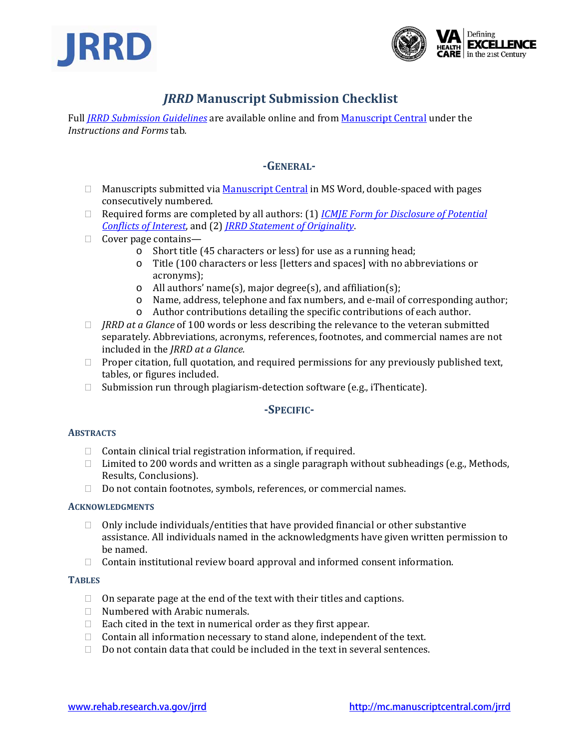



# *JRRD* **Manuscript Submission Checklist**

Full *JRRD Submission Guidelines* are available online and from Manuscript Central under the *Instructions and Forms* tab*.*

## **GENERAL**

- □ Manuscripts submitted via Manuscript Central in MS Word, double-spaced with pages consecutively numbered.
- Required forms are completed by all authors: (1) *ICMJE Form for Disclosure of Potential Conflicts of Interest*, and (2) *JRRD Statement of Originality*.
- $\Box$  Cover page contains
	- o Short title (45 characters or less) for use as a running head;
	- o Title (100 characters or less [letters and spaces] with no abbreviations or acronyms);
	- o All authors' name(s), major degree(s), and affiliation(s);
	- o Name, address, telephone and fax numbers, and e‐mail of corresponding author;
	- o Author contributions detailing the specific contributions of each author.
- *JRRD at a Glance* of 100 words or less describing the relevance to the veteran submitted separately. Abbreviations, acronyms, references, footnotes, and commercial names are not included in the *JRRD at a Glance.*
- $\Box$  Proper citation, full quotation, and required permissions for any previously published text, tables, or figures included.
- $\Box$  Submission run through plagiarism-detection software (e.g., iThenticate).

## **SPECIFIC**

#### **ABSTRACTS**

- $\Box$  Contain clinical trial registration information, if required.
- $\Box$  Limited to 200 words and written as a single paragraph without subheadings (e.g., Methods, Results, Conclusions).
- □ Do not contain footnotes, symbols, references, or commercial names.

#### **ACKNOWLEDGMENTS**

- $\Box$  Only include individuals/entities that have provided financial or other substantive assistance. All individuals named in the acknowledgments have given written permission to be named.
- $\Box$  Contain institutional review board approval and informed consent information.

#### **TABLES**

- $\Box$  On separate page at the end of the text with their titles and captions.
- $\Box$  Numbered with Arabic numerals.
- $\Box$  Each cited in the text in numerical order as they first appear.
- $\Box$  Contain all information necessary to stand alone, independent of the text.
- $\Box$  Do not contain data that could be included in the text in several sentences.